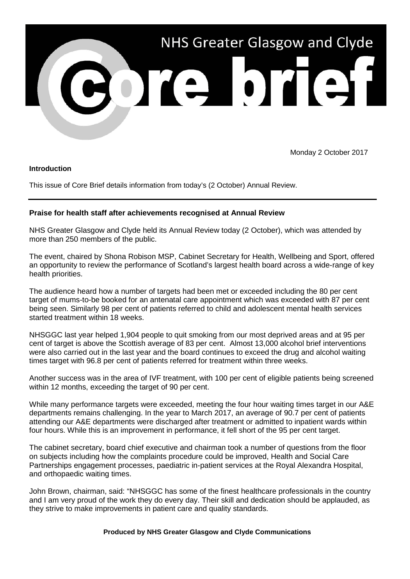

Monday 2 October 2017

## **Introduction**

This issue of Core Brief details information from today's (2 October) Annual Review.

## **Praise for health staff after achievements recognised at Annual Review**

NHS Greater Glasgow and Clyde held its Annual Review today (2 October), which was attended by more than 250 members of the public.

The event, chaired by Shona Robison MSP, Cabinet Secretary for Health, Wellbeing and Sport, offered an opportunity to review the performance of Scotland's largest health board across a wide-range of key health priorities.

The audience heard how a number of targets had been met or exceeded including the 80 per cent target of mums-to-be booked for an antenatal care appointment which was exceeded with 87 per cent being seen. Similarly 98 per cent of patients referred to child and adolescent mental health services started treatment within 18 weeks.

NHSGGC last year helped 1,904 people to quit smoking from our most deprived areas and at 95 per cent of target is above the Scottish average of 83 per cent. Almost 13,000 alcohol brief interventions were also carried out in the last year and the board continues to exceed the drug and alcohol waiting times target with 96.8 per cent of patients referred for treatment within three weeks.

Another success was in the area of IVF treatment, with 100 per cent of eligible patients being screened within 12 months, exceeding the target of 90 per cent.

While many performance targets were exceeded, meeting the four hour waiting times target in our A&E departments remains challenging. In the year to March 2017, an average of 90.7 per cent of patients attending our A&E departments were discharged after treatment or admitted to inpatient wards within four hours. While this is an improvement in performance, it fell short of the 95 per cent target.

The cabinet secretary, board chief executive and chairman took a number of questions from the floor on subjects including how the complaints procedure could be improved, Health and Social Care Partnerships engagement processes, paediatric in-patient services at the Royal Alexandra Hospital, and orthopaedic waiting times.

John Brown, chairman, said: "NHSGGC has some of the finest healthcare professionals in the country and I am very proud of the work they do every day. Their skill and dedication should be applauded, as they strive to make improvements in patient care and quality standards.

## **Produced by NHS Greater Glasgow and Clyde Communications**